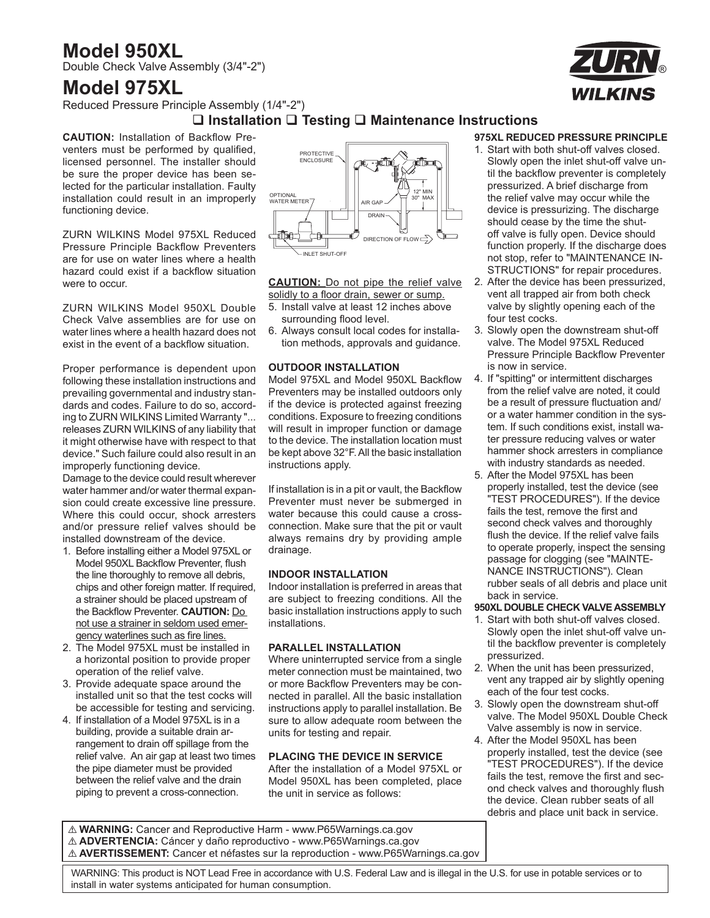### **Model 950XL**

Double Check Valve Assembly (3/4"-2")

### **Model 975XL**

Reduced Pressure Principle Assembly (1/4"-2")

#### **Installation Testing Maintenance Instructions**

**CAUTION:** Installation of Backflow Preventers must be performed by qualified, licensed personnel. The installer should be sure the proper device has been selected for the particular installation. Faulty installation could result in an improperly functioning device.

ZURN WILKINS Model 975XL Reduced Pressure Principle Backflow Preventers are for use on water lines where a health hazard could exist if a backflow situation were to occur.

ZURN WILKINS Model 950XL Double Check Valve assemblies are for use on water lines where a health hazard does not exist in the event of a backflow situation.

Proper performance is dependent upon following these installation instructions and prevailing governmental and industry standards and codes. Failure to do so, according to ZURN WILKINS Limited Warranty "... releases ZURN WILKINS of any liability that it might otherwise have with respect to that device." Such failure could also result in an improperly functioning device.

Damage to the device could result wherever water hammer and/or water thermal expansion could create excessive line pressure. Where this could occur, shock arresters and/or pressure relief valves should be installed downstream of the device.

- 1. Before installing either a Model 975XL or Model 950XL Backflow Preventer, flush the line thoroughly to remove all debris, chips and other foreign matter. If required, a strainer should be placed upstream of the Backflow Preventer. **CAUTION:** Do not use a strainer in seldom used emergency waterlines such as fire lines.
- 2. The Model 975XL must be installed in a horizontal position to provide proper operation of the relief valve.
- 3. Provide adequate space around the installed unit so that the test cocks will be accessible for testing and servicing.
- 4. If installation of a Model 975XL is in a building, provide a suitable drain arrangement to drain off spillage from the relief valve. An air gap at least two times the pipe diameter must be provided between the relief valve and the drain piping to prevent a cross-connection.



**CAUTION:** Do not pipe the relief valve solidly to a floor drain, sewer or sump.

- 5. Install valve at least 12 inches above surrounding flood level.
- 6. Always consult local codes for installation methods, approvals and guidance.

#### **OUTDOOR INSTALLATION**

Model 975XL and Model 950XL Backflow Preventers may be installed outdoors only if the device is protected against freezing conditions. Exposure to freezing conditions will result in improper function or damage to the device. The installation location must be kept above 32°F. All the basic installation instructions apply.

If installation is in a pit or vault, the Backflow Preventer must never be submerged in water because this could cause a crossconnection. Make sure that the pit or vault always remains dry by providing ample drainage.

#### **INDOOR INSTALLATION**

Indoor installation is preferred in areas that are subject to freezing conditions. All the basic installation instructions apply to such installations.

#### **PARALLEL INSTALLATION**

Where uninterrupted service from a single meter connection must be maintained, two or more Backflow Preventers may be connected in parallel. All the basic installation instructions apply to parallel installation. Be sure to allow adequate room between the units for testing and repair.

#### **PLACING THE DEVICE IN SERVICE**

After the installation of a Model 975XL or Model 950XL has been completed, place the unit in service as follows:

#### **975XL REDUCED PRESSURE PRINCIPLE**

- 1. Start with both shut-off valves closed. Slowly open the inlet shut-off valve until the backflow preventer is completely pressurized. A brief discharge from the relief valve may occur while the device is pressurizing. The discharge should cease by the time the shutoff valve is fully open. Device should function properly. If the discharge does not stop, refer to "MAINTENANCE IN-STRUCTIONS" for repair procedures.
- 2. After the device has been pressurized, vent all trapped air from both check valve by slightly opening each of the four test cocks.
- 3. Slowly open the downstream shut-off valve. The Model 975XL Reduced Pressure Principle Backflow Preventer is now in service.
- 4. If "spitting" or intermittent discharges from the relief valve are noted, it could be a result of pressure fluctuation and/ or a water hammer condition in the system. If such conditions exist, install water pressure reducing valves or water hammer shock arresters in compliance with industry standards as needed.
- 5. After the Model 975XL has been properly installed, test the device (see "TEST PROCEDURES"). If the device fails the test, remove the first and second check valves and thoroughly flush the device. If the relief valve fails to operate properly, inspect the sensing passage for clogging (see "MAINTE-NANCE INSTRUCTIONS"). Clean rubber seals of all debris and place unit back in service.

#### **950XL DOUBLE CHECK VALVE ASSEMBLY**

- 1. Start with both shut-off valves closed. Slowly open the inlet shut-off valve until the backflow preventer is completely pressurized.
- 2. When the unit has been pressurized, vent any trapped air by slightly opening each of the four test cocks.
- 3. Slowly open the downstream shut-off valve. The Model 950XL Double Check Valve assembly is now in service.
- 4. After the Model 950XL has been properly installed, test the device (see "TEST PROCEDURES"). If the device fails the test, remove the first and second check valves and thoroughly flush the device. Clean rubber seats of all debris and place unit back in service.

! **WARNING:** Cancer and Reproductive Harm - www.P65Warnings.ca.gov ! **ADVERTENCIA:** Cáncer y daño reproductivo - www.P65Warnings.ca.gov ! **AVERTISSEMENT:** Cancer et néfastes sur la reproduction - www.P65Warnings.ca.gov





 WARNING: This product is NOT Lead Free in accordance with U.S. Federal Law and is illegal in the U.S. for use in potable services or to install in water systems anticipated for human consumption.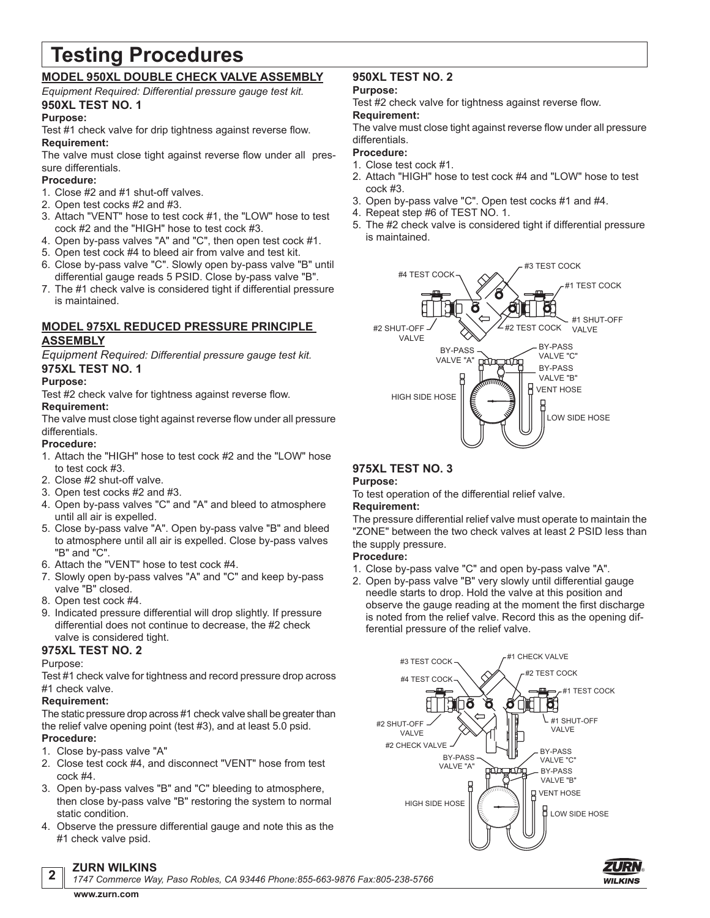# **Testing Procedures**

#### **MODEL 950XL DOUBLE CHECK VALVE ASSEMBLY**

*Equipment Required: Differential pressure gauge test kit.* **950XL TEST NO. 1**

#### **Purpose:**

Test #1 check valve for drip tightness against reverse flow. **Requirement:**

The valve must close tight against reverse flow under all pressure differentials.

#### **Procedure:**

- 1. Close #2 and #1 shut-off valves.
- 2. Open test cocks #2 and #3.
- 3. Attach "VENT" hose to test cock #1, the "LOW" hose to test cock #2 and the "HIGH" hose to test cock #3.
- 4. Open by-pass valves "A" and "C", then open test cock #1.
- 5. Open test cock #4 to bleed air from valve and test kit.
- 6. Close by-pass valve "C". Slowly open by-pass valve "B" until differential gauge reads 5 PSID. Close by-pass valve "B".
- 7. The #1 check valve is considered tight if differential pressure is maintained.

### **MODEL 975XL REDUCED PRESSURE PRINCIPLE ASSEMBLY**

*Equipment Required: Differential pressure gauge test kit.* **975XL TEST NO. 1**

#### **Purpose:**

Test #2 check valve for tightness against reverse flow. **Requirement:**

The valve must close tight against reverse flow under all pressure differentials.

#### **Procedure:**

- 1. Attach the "HIGH" hose to test cock #2 and the "LOW" hose to test cock #3.
- 2. Close #2 shut-off valve.
- 3. Open test cocks #2 and #3.
- 4. Open by-pass valves "C" and "A" and bleed to atmosphere until all air is expelled.
- 5. Close by-pass valve "A". Open by-pass valve "B" and bleed to atmosphere until all air is expelled. Close by-pass valves "B" and "C".
- 6. Attach the "VENT" hose to test cock #4.
- 7. Slowly open by-pass valves "A" and "C" and keep by-pass valve "B" closed.
- 8. Open test cock #4.
- 9. Indicated pressure differential will drop slightly. If pressure differential does not continue to decrease, the #2 check valve is considered tight.

#### **975XL TEST NO. 2**

#### Purpose:

**2**

Test #1 check valve for tightness and record pressure drop across #1 check valve.

#### **Requirement:**

The static pressure drop across #1 check valve shall be greater than the relief valve opening point (test #3), and at least 5.0 psid. **Procedure:**

- 1. Close by-pass valve "A"
- 2. Close test cock #4, and disconnect "VENT" hose from test cock #4.
- 3. Open by-pass valves "B" and "C" bleeding to atmosphere, then close by-pass valve "B" restoring the system to normal static condition.
- 4. Observe the pressure differential gauge and note this as the #1 check valve psid.

### **950XL TEST NO. 2**

#### **Purpose:**

Test #2 check valve for tightness against reverse flow. **Requirement:**

The valve must close tight against reverse flow under all pressure differentials.

#### **Procedure:**

- 1. Close test cock #1.
- 2. Attach "HIGH" hose to test cock #4 and "LOW" hose to test cock #3.
- 3. Open by-pass valve "C". Open test cocks #1 and #4.
- 4. Repeat step #6 of TEST NO. 1.
- 5. The #2 check valve is considered tight if differential pressure is maintained.



#### **975XL TEST NO. 3**

#### **Purpose:**

To test operation of the differential relief valve.

#### **Requirement:**

The pressure differential relief valve must operate to maintain the "ZONE" between the two check valves at least 2 PSID less than the supply pressure.

#### **Procedure:**

- 1. Close by-pass valve "C" and open by-pass valve "A".
- 2. Open by-pass valve "B" very slowly until differential gauge needle starts to drop. Hold the valve at this position and observe the gauge reading at the moment the first discharge is noted from the relief valve. Record this as the opening differential pressure of the relief valve.



*1747 Commerce Way, Paso Robles, CA 93446 Phone:855-663-9876 Fax:805-238-5766*

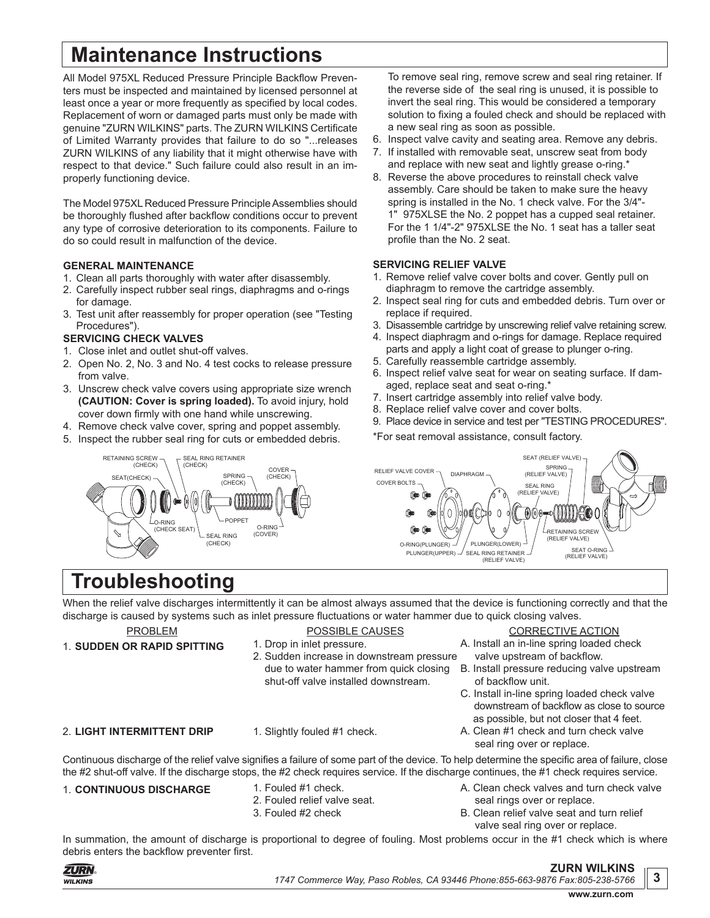# **Maintenance Instructions**

All Model 975XL Reduced Pressure Principle Backflow Preventers must be inspected and maintained by licensed personnel at least once a year or more frequently as specified by local codes. Replacement of worn or damaged parts must only be made with genuine "ZURN WILKINS" parts. The ZURN WILKINS Certificate of Limited Warranty provides that failure to do so "...releases ZURN WILKINS of any liability that it might otherwise have with respect to that device." Such failure could also result in an improperly functioning device.

The Model 975XL Reduced Pressure Principle Assemblies should be thoroughly flushed after backflow conditions occur to prevent any type of corrosive deterioration to its components. Failure to do so could result in malfunction of the device.

#### **GENERAL MAINTENANCE**

- 1. Clean all parts thoroughly with water after disassembly.
- 2. Carefully inspect rubber seal rings, diaphragms and o-rings for damage.
- 3. Test unit after reassembly for proper operation (see "Testing Procedures").

#### **SERVICING CHECK VALVES**

RETAINING SCREW (CHECK) SEAT(CHECK)

- 1. Close inlet and outlet shut-off valves.
- 2. Open No. 2, No. 3 and No. 4 test cocks to release pressure from valve.
- 3. Unscrew check valve covers using appropriate size wrench **(CAUTION: Cover is spring loaded).** To avoid injury, hold cover down firmly with one hand while unscrewing.

SEAL RING RETAINER (CHECK)

> SPRING (CHECK)

POPPET SEAL RING (CHECK)

(00000000

O-RING (COVER)

COVER (CHECK)

- 4. Remove check valve cover, spring and poppet assembly.
- 5. Inspect the rubber seal ring for cuts or embedded debris.
- To remove seal ring, remove screw and seal ring retainer. If the reverse side of the seal ring is unused, it is possible to invert the seal ring. This would be considered a temporary solution to fixing a fouled check and should be replaced with a new seal ring as soon as possible.
- 6. Inspect valve cavity and seating area. Remove any debris.
- 7. If installed with removable seat, unscrew seat from body and replace with new seat and lightly grease o-ring.\*
- 8. Reverse the above procedures to reinstall check valve assembly. Care should be taken to make sure the heavy spring is installed in the No. 1 check valve. For the 3/4"- 1" 975XLSE the No. 2 poppet has a cupped seal retainer. For the 1 1/4"-2" 975XLSE the No. 1 seat has a taller seat profile than the No. 2 seat.

#### **SERVICING RELIEF VALVE**

- 1. Remove relief valve cover bolts and cover. Gently pull on diaphragm to remove the cartridge assembly.
- 2. Inspect seal ring for cuts and embedded debris. Turn over or replace if required.
- 3. Disassemble cartridge by unscrewing relief valve retaining screw.
- 4. Inspect diaphragm and o-rings for damage. Replace required
- parts and apply a light coat of grease to plunger o-ring. 5. Carefully reassemble cartridge assembly.
- 6. Inspect relief valve seat for wear on seating surface. If damaged, replace seat and seat o-ring.'
- 7. Insert cartridge assembly into relief valve body.
- 8. Replace relief valve cover and cover bolts.
- 9. Place device in service and test per "TESTING PROCEDURES".
- \*For seat removal assistance, consult factory.



# **Troubleshooting**

 $\sqrt{O}$ -RING (CHECK SEAT)

When the relief valve discharges intermittently it can be almost always assumed that the device is functioning correctly and that the discharge is caused by systems such as inlet pressure fluctuations or water hammer due to quick closing valves.

PROBLEM

POSSIBLE CAUSES

shut-off valve installed downstream.

- 1. Drop in inlet pressure. 2. Sudden increase in downstream pressure
- CORRECTIVE ACTION
- A. Install an in-line spring loaded check valve upstream of backflow.
- B. Install pressure reducing valve upstream of backflow unit.
- C. Install in-line spring loaded check valve downstream of backflow as close to source as possible, but not closer that 4 feet.
- A. Clean #1 check and turn check valve seal ring over or replace.

A. Clean check valves and turn check valve

Continuous discharge of the relief valve signifies a failure of some part of the device. To help determine the specific area of failure, close the #2 shut-off valve. If the discharge stops, the #2 check requires service. If the discharge continues, the #1 check requires service.

#### 1. **CONTINUOUS DISCHARGE** 1. Fouled #1 check.

- 
- 2. Fouled relief valve seat. 3. Fouled #2 check
- seal rings over or replace. B. Clean relief valve seat and turn relief valve seal ring over or replace.

In summation, the amount of discharge is proportional to degree of fouling. Most problems occur in the #1 check which is where debris enters the backflow preventer first.



**3**

due to water hammer from quick closing

- 
- 2. **LIGHT INTERMITTENT DRIP**
- 1. Slightly fouled #1 check.
- 1. **SUDDEN OR RAPID SPITTING**